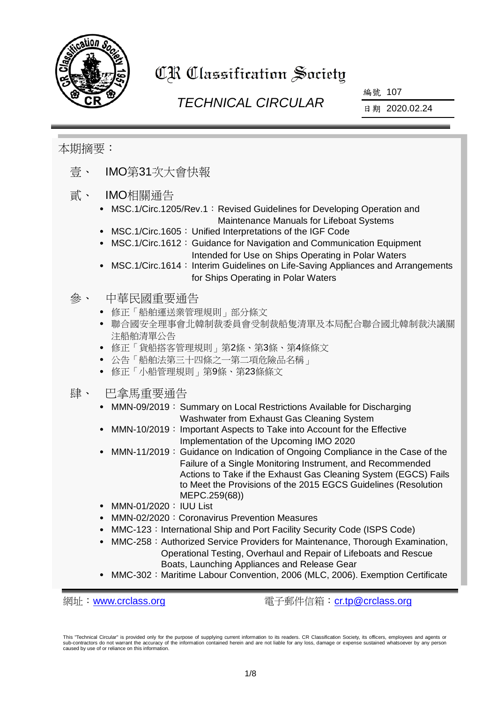

# CR Classification Society

# *TECHNICAL CIRCULAR*

編號 107

日期 2020.02.24

### 本期摘要:

- 壹、 IMO第31次大會快報
- 貳、 IMO相關通告
	- MSC.1/Circ.1205/Rev.1: Revised Guidelines for Developing Operation and Maintenance Manuals for Lifeboat Systems
	- MSC.1/Circ.1605: Unified Interpretations of the IGF Code
	- MSC.1/Circ.1612: Guidance for Navigation and Communication Equipment Intended for Use on Ships Operating in Polar Waters
	- MSC.1/Circ.1614: Interim Guidelines on Life-Saving Appliances and Arrangements for Ships Operating in Polar Waters

#### 參、 中華民國重要通告

- 修正「船舶運送業管理規則」部分條文
- 聯合國安全理事會北韓制裁委員會受制裁船隻清單及本局配合聯合國北韓制裁決議關 注船舶清單公告
- 修正「貨船搭客管理規則」第2條、第3條、第4條條文
- 公告「船舶法第三十四條之一第二項危險品名稱」
- 修正「小船管理規則」第9條、第23條條文
- 肆、 巴拿馬重要通告
	- MMN-09/2019: Summary on Local Restrictions Available for Discharging Washwater from Exhaust Gas Cleaning System
	- MMN-10/2019: Important Aspects to Take into Account for the Effective Implementation of the Upcoming IMO 2020
	- MMN-11/2019: Guidance on Indication of Ongoing Compliance in the Case of the Failure of a Single Monitoring Instrument, and Recommended Actions to Take if the Exhaust Gas Cleaning System (EGCS) Fails to Meet the Provisions of the 2015 EGCS Guidelines (Resolution MEPC.259(68))
	- MMN-01/2020: IUU List
	- MMN-02/2020: Coronavirus Prevention Measures
	- MMC-123: International Ship and Port Facility Security Code (ISPS Code)
	- MMC-258: Authorized Service Providers for Maintenance, Thorough Examination, Operational Testing, Overhaul and Repair of Lifeboats and Rescue Boats, Launching Appliances and Release Gear
	- MMC-302:Maritime Labour Convention, 2006 (MLC, 2006). Exemption Certificate

網址:[www.crclass.org](http://www.crclass.org/) 電子郵件信箱:[cr.tp@crclass.org](mailto:cr.tp@crclass.org)

This "Technical Circular" is provided only for the purpose of supplying current information to its readers. CR Classification Society, its officers, employees and agents or sub-contractors do not warrant the accuracy of the information contained herein and are not liable for any loss, damage or expense sustained whatsoever by any person caused by use of or reliance on this information.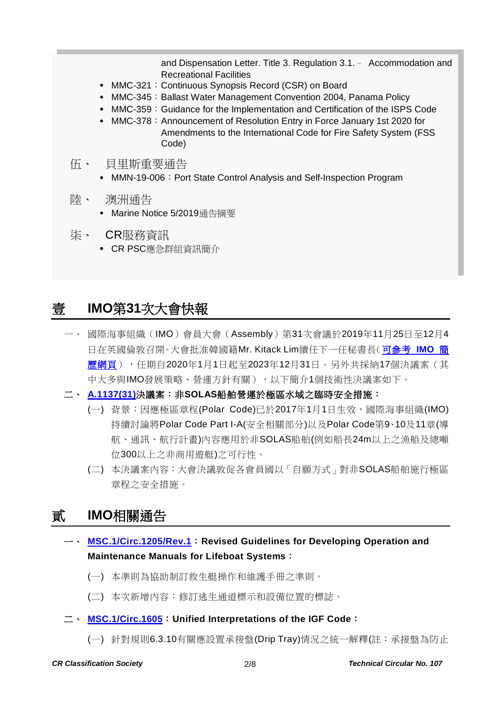and Dispensation Letter. Title 3. Regulation 3.1.– Accommodation and Recreational Facilities

- MMC-321: Continuous Synopsis Record (CSR) on Board
- MMC-345: Ballast Water Management Convention 2004, Panama Policy
- MMC-359: Guidance for the Implementation and Certification of the ISPS Code
- MMC-378: Announcement of Resolution Entry in Force January 1st 2020 for Amendments to the International Code for Fire Safety System (FSS Code)
- 伍、 貝里斯重要通告
	- MMN-19-006: Port State Control Analysis and Self-Inspection Program
- 陸、 澳洲通告
	- Marine Notice 5/2019通告摘要
- 柒、 CR服務資訊
	- CR PSC應急群組資訊簡介

# 壹 **IMO**第**31**次大會快報

- 一、 國際海事組織(IMO)會員大會(Assembly)第31次會議於2019年11月25日至12月4 日在英國倫敦召開。大會批准韓國籍Mr. Kitack Lim續任下一任秘書長[\(可參考](http://www.imo.org/en/MediaCentre/SecretaryGeneral/Pages/Default.aspx) **IMO** 簡 [歷網頁\)](http://www.imo.org/en/MediaCentre/SecretaryGeneral/Pages/Default.aspx),任期自2020年1月1日起至2023年12月31日。另外共採納17個決議案(其 中大多與IMO發展策略、營運方針有關),以下簡介1個技術性決議案如下。
- 二、 **[A.1137\(31\)](https://www.crclass.org/chinese/download/ti-tc/107/1-1%20A%2031-Res.1137%20-%20INTERIM%20SAFETY%20MEASURES%20FOR%20SHIPS%20NOT%20CERTIFIED%20UNDER%20THE%20SOLASCONVENTION%20OPERATING%20IN%20POL...%20(Secretariat).pdf)**決議案:非**SOLAS**船舶營運於極區水域之臨時安全措施:
	- (一) 背景:因應極區章程(Polar Code)已於2017年1月1日生效,國際海事組織(IMO) 持續討論將Polar Code Part I-A(安全相關部分)以及Polar Code第9、10及11章(導 航、通訊、航行計畫)內容應用於非SOLAS船舶(例如船長24m以上之漁船及總噸 位300以上之非商用遊艇)之可行性。
	- (二) 本決議案內容:大會決議敦促各會員國以「自願方式」對非SOLAS船舶施行極區 章程之安全措施。

# 貳 **IMO**相關通告

- 一、 **[MSC.1/Circ.1205/Rev.1](https://www.crclass.org/chinese/download/ti-tc/107/2-1%20MSC.1-Circ.1205-Rev.1%20-%20Revised%20Guidelines%20For%20Developing%20Operation%20And%20MaintenanceManuals%20For%20Lifeboat%20Systems%20(Secretariat).pdf)**:**Revised Guidelines for Developing Operation and Maintenance Manuals for Lifeboat Systems**:
	- (一) 本準則為協助制訂救生艇操作和維護手冊之準則。
	- (二) 本次新增內容:修訂逃生通道標示和設備位置的標誌。
- 二、 **[MSC.1/Circ.1605](https://www.crclass.org/chinese/download/ti-tc/107/2-2%20MSC.1-Circ.1605%20-%20Unified%20Interpretations%20Of%20The%20Igf%20Code%20(Secretariat).pdf)**:**Unified Interpretations of the IGF Code**:
	- (一) 針對規則6.3.10有關應設置承接盤(Drip Tray)情況之統一解釋(註:承接盤為防止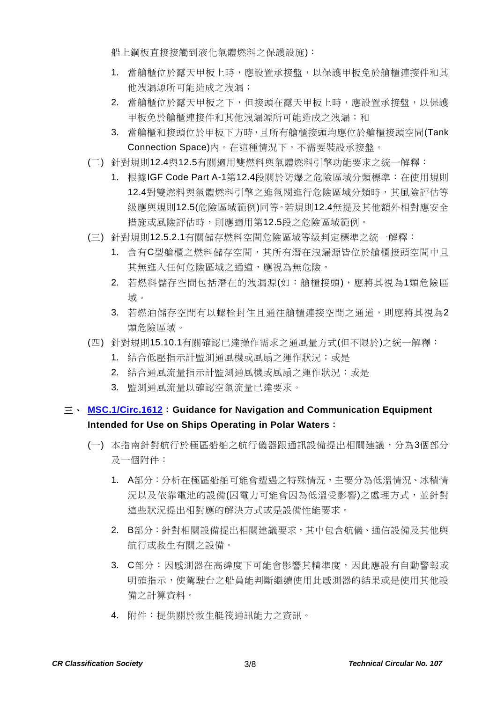船上鋼板直接接觸到液化氣體燃料之保護設施):

- 1. 當艙櫃位於露天甲板上時,應設置承接盤,以保護甲板免於艙櫃連接件和其 他洩漏源所可能造成之洩漏;
- 2. 當艙櫃位於露天甲板之下,但接頭在露天甲板上時,應設置承接盤,以保護 甲板免於艙櫃連接件和其他洩漏源所可能造成之洩漏;和
- 3. 當艙櫃和接頭位於甲板下方時,且所有艙櫃接頭均應位於艙櫃接頭空間(Tank Connection Space)內。在這種情況下,不需要裝設承接盤。
- (二) 針對規則12.4與12.5有關適用雙燃料與氣體燃料引擎功能要求之統一解釋:
	- 1. 根據IGF Code Part A-1第12.4段關於防爆之危險區域分類標準:在使用規則 12.4對雙燃料與氣體燃料引擎之進氣閥進行危險區域分類時,其風險評估等 級應與規則12.5(危險區域範例)同等。若規則12.4無提及其他額外相對應安全 措施或風險評估時,則應適用第12.5段之危險區域範例。
- (三) 針對規則12.5.2.1有關儲存燃料空間危險區域等級判定標準之統一解釋:
	- 1. 含有C型艙櫃之燃料儲存空間,其所有潛在洩漏源皆位於艙櫃接頭空間中且 其無進入任何危險區域之通道,應視為無危險。
	- 2. 若燃料儲存空間包括潛在的洩漏源(如:艙櫃接頭),應將其視為1類危險區 域。
	- 3. 若燃油儲存空間有以螺栓封住且通往艙櫃連接空間之通道,則應將其視為2 類危險區域。
- (四) 針對規則15.10.1有關確認已達操作需求之通風量方式(但不限於)之統一解釋:
	- 1. 結合低壓指示計監測通風機或風扇之運作狀況;或是
	- 2. 結合通風流量指示計監測通風機或風扇之運作狀況;或是
	- 3. 監測通風流量以確認空氣流量已達要求。

#### 三、 **[MSC.1/Circ.1612](https://www.crclass.org/chinese/download/ti-tc/107/2-3%20MSC.1-Circ.1612%20-%20Guidance%20For%20Navigation%20And%20Communication%20EquipmentIntended%20For%20Use%20On%20Ships%20Operating%20In...%20(Secretariat).pdf)**:**Guidance for Navigation and Communication Equipment Intended for Use on Ships Operating in Polar Waters**:

- (一) 本指南針對航行於極區船舶之航行儀器跟通訊設備提出相關建議,分為3個部分 及一個附件:
	- 1. A部分:分析在極區船舶可能會遭遇之特殊情況,主要分為低溫情況、冰積情 況以及依靠電池的設備(因電力可能會因為低溫受影響)之處理方式,並針對 這些狀況提出相對應的解決方式或是設備性能要求。
	- 2. B部分:針對相關設備提出相關建議要求,其中包含航儀、通信設備及其他與 航行或救生有關之設備。
	- 3. C部分:因感測器在高緯度下可能會影響其精準度,因此應設有自動警報或 明確指示,使駕駛台之船員能判斷繼續使用此感測器的結果或是使用其他設 備之計算資料。
	- 4. 附件:提供關於救生艇筏通訊能力之資訊。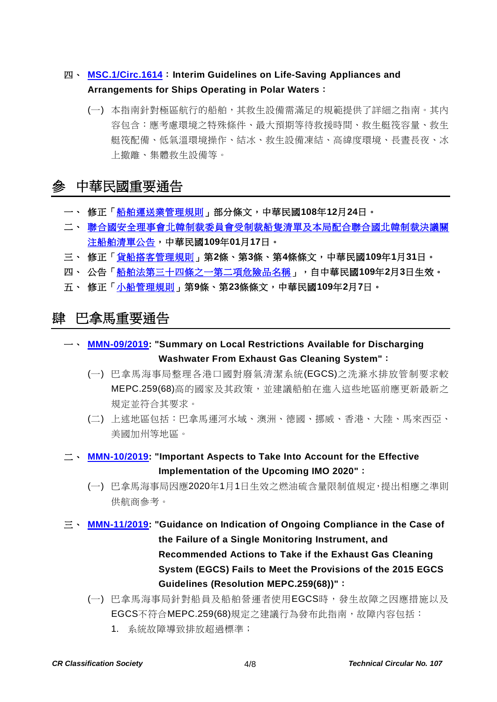### 四、 **[MSC.1/Circ.1614](https://www.crclass.org/chinese/download/ti-tc/107/2-4%20MSC.1-Circ.1614%20-%20Interim%20Guidelines%20On%20Life-Saving%20Appliances%20And%20Arrangements%20For%20Ships%20Operating%20In%20Polar...%20(Secretariat).pdf)**:**Interim Guidelines on Life-Saving Appliances and Arrangements for Ships Operating in Polar Waters**:

(一) 本指南針對極區航行的船舶,其救生設備需滿足的規範提供了詳細之指南。其內 容包含:應考慮環境之特殊條件、最大預期等待救援時間、救生艇筏容量、救生 艇筏配備、低氣溫環境操作、結冰、救生設備凍結、高緯度環境、長晝長夜、冰 上撤離、集體救生設備等。

# 參 中華民國重要通告

- 一、 修正[「船舶運送業管理規則」](https://gazette.nat.gov.tw/egFront/detail.do?metaid=112082&log=detailLog)部分條文,中華民國**108**年**12**月**24**日。
- 二、 [聯合國安全理事會北韓制裁委員會受制裁船隻清單及本局配合聯合國北韓制裁決議關](https://www.motcmpb.gov.tw/Information/Detail/cfc09406-61f5-4462-a7ee-4bb3de2fdab0?SiteId=1&NodeId=103) [注船舶清單公告,](https://www.motcmpb.gov.tw/Information/Detail/cfc09406-61f5-4462-a7ee-4bb3de2fdab0?SiteId=1&NodeId=103)中華民國**109**年**01**月**17**日。
- 三、 修正[「貨船搭客管理規則」](https://gazette.nat.gov.tw/egFront/detail.do?metaid=112910&log=detailLog)第**2**條、第**3**條、第**4**條條文,中華民國**109**年**1**月**31**日。
- 四、 公告[「船舶法第三十四條之一第二項危險品名稱」](https://gazette.nat.gov.tw/egFront/detail.do?metaid=112956&log=detailLog),自中華民國**109**年**2**月**3**日生效。
- 五、 修正[「小船管理規則」](https://gazette.nat.gov.tw/egFront/detail.do?metaid=113085&log=detailLog)第**9**條、第**23**條條文,中華民國**109**年**2**月**7**日。

## 肆 巴拿馬重要通告

- 一、 **[MMN-09/2019:](https://www.crclass.org/chinese/download/ti-tc/107/4-1%20MMN-09-2019-29-11-2019-1-1.pdf) "Summary on Local Restrictions Available for Discharging Washwater From Exhaust Gas Cleaning System"**:
	- (一) 巴拿馬海事局整理各港口國對廢氣清潔系統(EGCS)之洗滌水排放管制要求較 MEPC.259(68)高的國家及其政策,並建議船舶在進入這些地區前應更新最新之 規定並符合其要求。
	- (二) 上述地區包括:巴拿馬運河水域、澳洲、德國、挪威、香港、大陸、馬來西亞、 美國加州等地區。
- 二、 **[MMN-10/2019:](https://www.crclass.org/chinese/download/ti-tc/107/4-2%20MMN-10-2019.pdf) "Important Aspects to Take Into Account for the Effective Implementation of the Upcoming IMO 2020"**:
	- (一) 巴拿馬海事局因應2020年1月1日生效之燃油硫含量限制值規定,提出相應之準則 供航商參考。
- 三、 **[MMN-11/2019:](https://www.crclass.org/chinese/download/ti-tc/107/4-3%20MMN-11-2019-EGCS-Failure.pdf) "Guidance on Indication of Ongoing Compliance in the Case of the Failure of a Single Monitoring Instrument, and Recommended Actions to Take if the Exhaust Gas Cleaning System (EGCS) Fails to Meet the Provisions of the 2015 EGCS Guidelines (Resolution MEPC.259(68))"**:
	- (一) 巴拿馬海事局針對船員及船舶營運者使用EGCS時,發生故障之因應措施以及 EGCS不符合MEPC.259(68)規定之建議行為發布此指南,故障內容包括:
		- 1. 系統故障導致排放超過標準;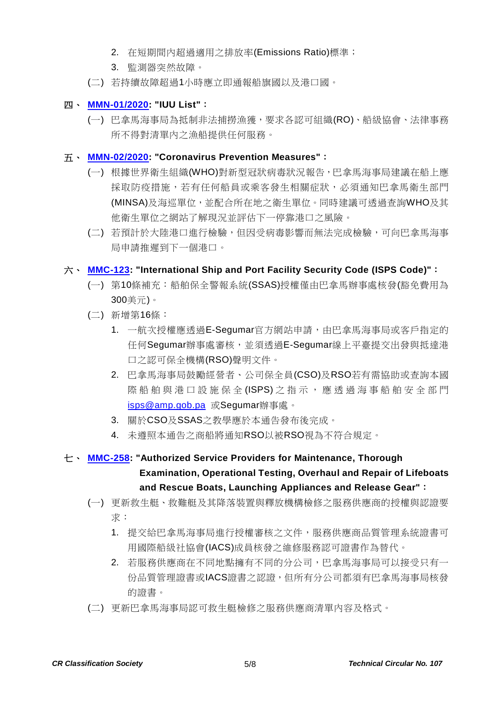- 2. 在短期間內超過適用之排放率(Emissions Ratio)標準;
- 3. 監測器突然故障。
- (二) 若持續故障超過1小時應立即通報船旗國以及港口國。

#### 四、 **[MMN-01/2020:](https://www.crclass.org/chinese/download/ti-tc/107/4-4%20MMN-01-2020-IUU-list.pdf) "IUU List"**:

(一) 巴拿馬海事局為抵制非法捕撈漁獲,要求各認可組織(RO)、船級協會、法律事務 所不得對清單內之漁船提供任何服務。

#### 五、 **[MMN-02/2020:](https://www.crclass.org/chinese/download/ti-tc/107/4-5%20MMN-02-2020-CORONAVIRUS-AMP-SAFETY-CIRCULAR-FINAL.pdf) "Coronavirus Prevention Measures"**:

- (一) 根據世界衛生組織(WHO)對新型冠狀病毒狀況報告,巴拿馬海事局建議在船上應 採取防疫措施,若有任何船員或乘客發生相關症狀,必須通知巴拿馬衛生部門 (MINSA)及海巡單位,並配合所在地之衛生單位。同時建議可透過查詢WHO及其 他衛生單位之網站了解現況並評估下一停靠港口之風險。
- (二) 若預計於大陸港口進行檢驗,但因受病毒影響而無法完成檢驗,可向巴拿馬海事 局申請推遲到下一個港口。

#### 六、 **[MMC-123:](https://www.crclass.org/chinese/download/ti-tc/107/4-6%20MMC-123-31-10-20191.pdf) "International Ship and Port Facility Security Code (ISPS Code)"**:

- (一) 第10條補充:船舶保全警報系統(SSAS)授權僅由巴拿馬辦事處核發(豁免費用為 300美元)。
- (二) 新增第16條:
	- 1. 一航次授權應透過E-Segumar官方網站申請,由巴拿馬海事局或客戶指定的 任何Segumar辦事處審核,並須透過E-Segumar線上平臺提交出發與抵達港 口之認可保全機構(RSO)聲明文件。
	- 2. 巴拿馬海事局鼓勵經營者、公司保全員(CSO)及RSO若有需協助或查詢本國 際船舶與港口設施保全 (ISPS) 之 指示,應 透 過 海 事 船 舶 安 全 部 門 [isps@amp.gob.pa](mailto:isps@amp.gob.pa) 或Segumar辦事處。
	- 3. 關於CSO及SSAS之教學應於本通告發布後完成。
	- 4. 未遵照本通告之商船將通知RSO以被RSO視為不符合規定。

### 七、 **[MMC-258:](https://www.crclass.org/chinese/download/ti-tc/107/4-7-258-30-JANUARY-2020-FINAL.pdf) "Authorized Service Providers for Maintenance, Thorough Examination, Operational Testing, Overhaul and Repair of Lifeboats and Rescue Boats, Launching Appliances and Release Gear"**:

- (一) 更新救生艇、救難艇及其降落裝置與釋放機構檢修之服務供應商的授權與認證要 求:
	- 1. 提交給巴拿馬海事局進行授權審核之文件,服務供應商品質管理系統證書可 用國際船級社協會(IACS)成員核發之維修服務認可證書作為替代。
	- 2. 若服務供應商在不同地點擁有不同的分公司,巴拿馬海事局可以接受只有一 份品質管理證書或IACS證書之認證,但所有分公司都須有巴拿馬海事局核發 的證書。
- (二) 更新巴拿馬海事局認可救生艇檢修之服務供應商清單內容及格式。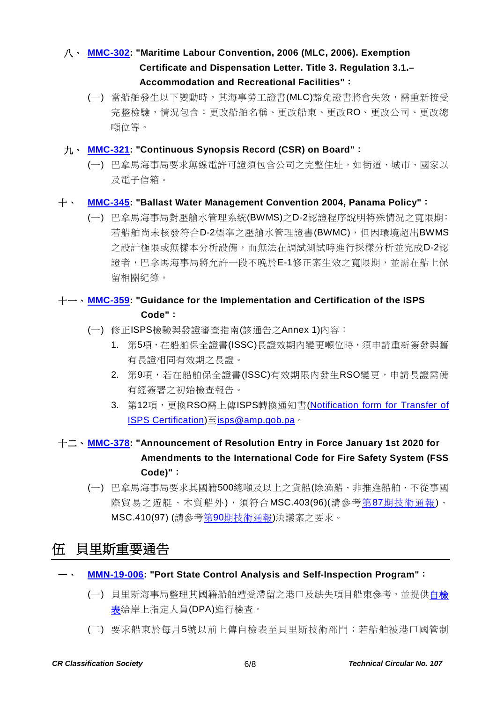### 八、 **[MMC-302:](https://www.crclass.org/chinese/download/ti-tc/107/4-8%20MMC-302-Control-de-Cambio-28-10-2019.pdf) "Maritime Labour Convention, 2006 (MLC, 2006). Exemption Certificate and Dispensation Letter. Title 3. Regulation 3.1.– Accommodation and Recreational Facilities"**:

(一) 當船舶發生以下變動時,其海事勞工證書(MLC)豁免證書將會失效,需重新接受 完整檢驗,情況包含:更改船舶名稱、更改船東、更改RO、更改公司、更改總 噸位等。

#### 九、 **[MMC-321:](https://www.crclass.org/chinese/download/ti-tc/107/4-9%20MMC-321-11-12-2019.pdf) "Continuous Synopsis Record (CSR) on Board"**:

(一) 巴拿馬海事局要求無線電許可證須包含公司之完整住址,如街道、城市、國家以 及電子信箱。

#### 十、 **[MMC-345:](https://www.crclass.org/chinese/download/ti-tc/107/4-10%20MMC-345-Ballast-Water-Management-Convention-2004-Panama-Policy-rev-dic-2019.pdf) "Ballast Water Management Convention 2004, Panama Policy"**:

(一) 巴拿馬海事局對壓艙水管理系統(BWMS)之D-2認證程序說明特殊情況之寬限期: 若船舶尚未核發符合D-2標準之壓艙水管理證書(BWMC),但因環境超出BWMS 之設計極限或無樣本分析設備,而無法在調試測試時進行採樣分析並完成D-2認 證者,巴拿馬海事局將允許一段不晚於E-1修正案生效之寬限期,並需在船上保 留相關紀錄。

### 十一、 **[MMC-359:](https://www.crclass.org/chinese/download/ti-tc/107/4-11%20MMC-359-.pdf) "Guidance for the Implementation and Certification of the ISPS Code"**:

- (一) 修正ISPS檢驗與發證審查指南(該通告之Annex 1)內容:
	- 1. 第5項,在船舶保全證書(ISSC)長證效期內變更噸位時,須申請重新簽發與舊 有長證相同有效期之長證。
	- 2. 第9項,若在船舶保全證書(ISSC)有效期限內發生RSO變更,申請長證需備 有經簽署之初始檢查報告。
	- 3. 第12項,更換RSO需上傳ISPS轉換通知書(Notification form for Transfer of [ISPS Certification\)](https://panamashipregistry.com/wp-content/uploads/2019/12/Notification-for-change-of-ISPS-certification-8.doc)至[isps@amp.gob.pa](mailto:isps@amp.gob.pa)。

### 十二、 **[MMC-378:](https://www.crclass.org/chinese/download/ti-tc/107/4-12%20MMC-378-In-force-January-1st-2020.pdf) "Announcement of Resolution Entry in Force January 1st 2020 for Amendments to the International Code for Fire Safety System (FSS Code)"**:

(一) 巴拿馬海事局要求其國籍500總噸及以上之貨船(除漁船、非推進船舶、不從事國 際貿易之遊艇、木質船外),須符合MSC.403(96)(請參考第87[期技術通報](https://www.crclass.org/chinese/download/ti-tc/87/87.pdf))、 MSC.410(97) (請參考第90[期技術通報](https://www.crclass.org/chinese/download/ti-tc/90/90.pdf))決議案之要求。

# 伍 貝里斯重要通告

#### 一、 **[MMN-19-006:](https://www.crclass.org/chinese/download/ti-tc/107/5-1%20MMN-19-006%20Port%20State%20Control%20Analysis%20and%20Self-Inspection%20Program.pdf) "Port State Control Analysis and Self-Inspection Program"**:

- (一) 貝里斯海事局整理其國籍船舶遭受滯留之港口及缺失項目船東參考,並提[供自檢](https://www.crclass.org/chinese/download/ti-tc/107/5-2%20TDL-018-IMMARBE%20Self-Inspection%20Checklist.pdf) [表給](https://www.crclass.org/chinese/download/ti-tc/107/5-2%20TDL-018-IMMARBE%20Self-Inspection%20Checklist.pdf)岸上指定人員(DPA)進行檢查。
- (二) 要求船東於每月5號以前上傳自檢表至貝里斯技術部門;若船舶被港口國管制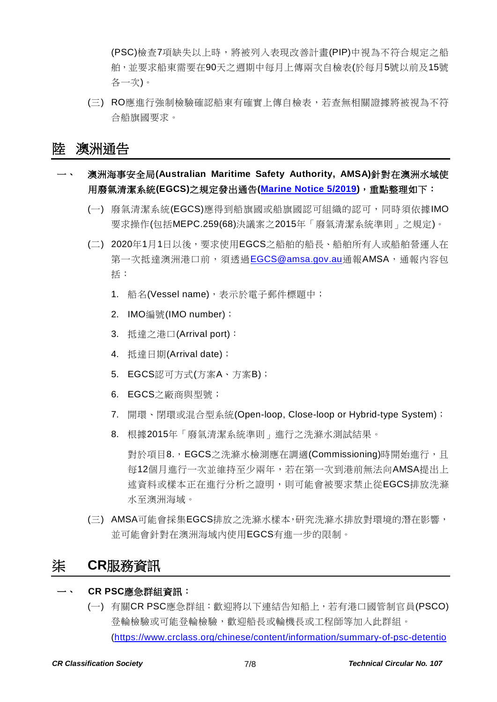(PSC)檢查7項缺失以上時,將被列入表現改善計畫(PIP)中視為不符合規定之船 舶,並要求船東需要在90天之週期中每月上傳兩次自檢表(於每月5號以前及15號 各一次)。

(三) RO應進行強制檢驗確認船東有確實上傳自檢表,若查無相關證據將被視為不符 合船旗國要求。

### 陸 澳洲通告

- 一、 澳洲海事安全局**(Australian Maritime Safety Authority, AMSA)**針對在澳洲水域使 用廢氣清潔系統**(EGCS)**之規定發出通告**[\(Marine Notice 5/2019\)](https://www.crclass.org/chinese/download/ti-tc/107/6-1%20marine-notice-05-2019-requirements-for-the-use-of-exhaust-gas-cleaning-systems-in-australian-waters-and-reporting-to-amsa.pdf)**,重點整理如下:
	- (一) 廢氣清潔系統(EGCS)應得到船旗國或船旗國認可組織的認可,同時須依據IMO 要求操作(包括MEPC.259(68)決議案之2015年「廢氣清潔系統準則」之規定)。
	- (二) 2020年1月1日以後,要求使用EGCS之船舶的船長、船舶所有人或船舶營運人在 第一次抵達澳洲港口前,須透過[EGCS@amsa.gov.au](mailto:EGCS@amsa.gov.au)通報AMSA,通報內容包 括:
		- 1. 船名(Vessel name), 表示於電子郵件標題中;
		- 2. IMO編號(IMO number);
		- 3. 抵達之港口(Arrival port):
		- 4. 抵達日期(Arrival date);
		- 5. EGCS認可方式(方案A、方案B);
		- 6. EGCS之廠商與型號;
		- 7. 開環、閉環或混合型系統(Open-loop, Close-loop or Hybrid-type System);
		- 8. 根據2015年「廢氣清潔系統準則」進行之洗滌水測試結果。

對於項目8.,EGCS之洗滌水檢測應在調適(Commissioning)時開始進行,且 每12個月進行一次並維持至少兩年,若在第一次到港前無法向AMSA提出上 述資料或樣本正在進行分析之證明,則可能會被要求禁止從EGCS排放洗滌 水至澳洲海域。

(三) AMSA可能會採集EGCS排放之洗滌水樣本,研究洗滌水排放對環境的潛在影響, 並可能會針對在澳洲海域內使用EGCS有進一步的限制。

# 柒 **CR**服務資訊

#### 一、 **CR PSC**應急群組資訊:

(一) 有關CR PSC應急群組:歡迎將以下連結告知船上,若有港口國管制官員(PSCO) 登輪檢驗或可能登輪檢驗,歡迎船長或輪機長或工程師等加入此群組。 [\(https://www.crclass.org/chinese/content/information/summary-of-psc-detentio](https://www.crclass.org/chinese/content/information/summary-of-psc-detention-items.html)